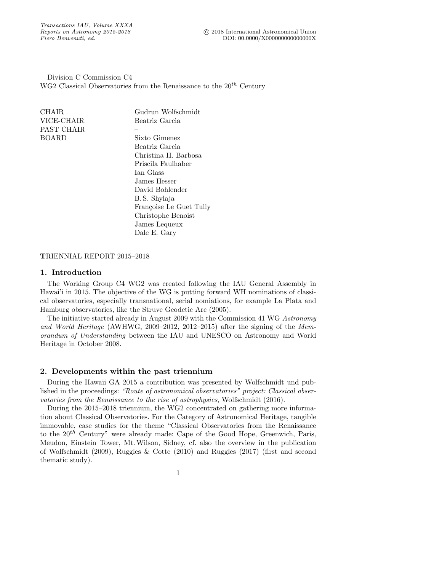Division C Commission C4 WG2 Classical Observatories from the Renaissance to the  $20^{th}$  Century

> James Lequeux Dale E. Gary

| CHAIR.     | Gudrun Wolfschmidt      |
|------------|-------------------------|
| VICE-CHAIR | Beatriz Garcia          |
| PAST CHAIR |                         |
| BOARD      | Sixto Gimenez           |
|            | Beatriz Garcia          |
|            | Christina H. Barbosa    |
|            | Priscila Faulhaber      |
|            | Ian Glass               |
|            | James Hesser            |
|            | David Bohlender         |
|            | B.S. Shylaja            |
|            | Françoise Le Guet Tully |
|            | Christophe Benoist      |

## TRIENNIAL REPORT 2015–2018

# 1. Introduction

The Working Group C4 WG2 was created following the IAU General Assembly in Hawai'i in 2015. The objective of the WG is putting forward WH nominations of classical observatories, especially transnational, serial nomiations, for example La Plata and Hamburg observatories, like the Struve Geodetic Arc (2005).

The initiative started already in August 2009 with the Commission 41 WG Astronomy and World Heritage (AWHWG, 2009–2012, 2012–2015) after the signing of the Memorandum of Understanding between the IAU and UNESCO on Astronomy and World Heritage in October 2008.

## 2. Developments within the past triennium

During the Hawaii GA 2015 a contribution was presented by Wolfschmidt und published in the proceedings: "Route of astronomical observatories" project: Classical observatories from the Renaissance to the rise of astrophysics, Wolfschmidt (2016).

During the 2015–2018 triennium, the WG2 concentrated on gathering more information about Classical Observatories. For the Category of Astronomical Heritage, tangible immovable, case studies for the theme "Classical Observatories from the Renaissance to the  $20<sup>th</sup>$  Century" were already made: Cape of the Good Hope, Greenwich, Paris, Meudon, Einstein Tower, Mt.Wilson, Sidney, cf. also the overview in the publication of Wolfschmidt (2009), Ruggles & Cotte (2010) and Ruggles (2017) (first and second thematic study).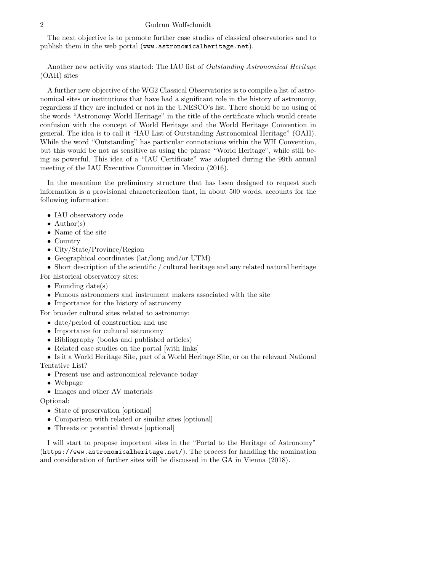#### 2 Gudrun Wolfschmidt

The next objective is to promote further case studies of classical observatories and to publish them in the web portal (www.astronomicalheritage.net).

Another new activity was started: The IAU list of Outstanding Astronomical Heritage (OAH) sites

A further new objective of the WG2 Classical Observatories is to compile a list of astronomical sites or institutions that have had a significant role in the history of astronomy, regardless if they are included or not in the UNESCO's list. There should be no using of the words "Astronomy World Heritage" in the title of the certificate which would create confusion with the concept of World Heritage and the World Heritage Convention in general. The idea is to call it "IAU List of Outstanding Astronomical Heritage" (OAH). While the word "Outstanding" has particular connotations within the WH Convention, but this would be not as sensitive as using the phrase "World Heritage", while still being as powerful. This idea of a "IAU Certificate" was adopted during the 99th annual meeting of the IAU Executive Committee in Mexico (2016).

In the meantime the preliminary structure that has been designed to request such information is a provisional characterization that, in about 500 words, accounts for the following information:

- IAU observatory code
- Author(s)
- Name of the site
- Country
- City/State/Province/Region
- Geographical coordinates (lat/long and/or UTM)
- Short description of the scientific / cultural heritage and any related natural heritage

For historical observatory sites:

- Founding date(s)
- Famous astronomers and instrument makers associated with the site
- Importance for the history of astronomy

For broader cultural sites related to astronomy:

- date/period of construction and use
- Importance for cultural astronomy
- Bibliography (books and published articles)
- Related case studies on the portal [with links]
- Is it a World Heritage Site, part of a World Heritage Site, or on the relevant National

Tentative List?

- Present use and astronomical relevance today
- Webpage
- Images and other AV materials

Optional:

- State of preservation [optional]
- Comparison with related or similar sites [optional]
- Threats or potential threats [optional]

I will start to propose important sites in the "Portal to the Heritage of Astronomy" (https://www.astronomicalheritage.net/). The process for handling the nomination and consideration of further sites will be discussed in the GA in Vienna (2018).